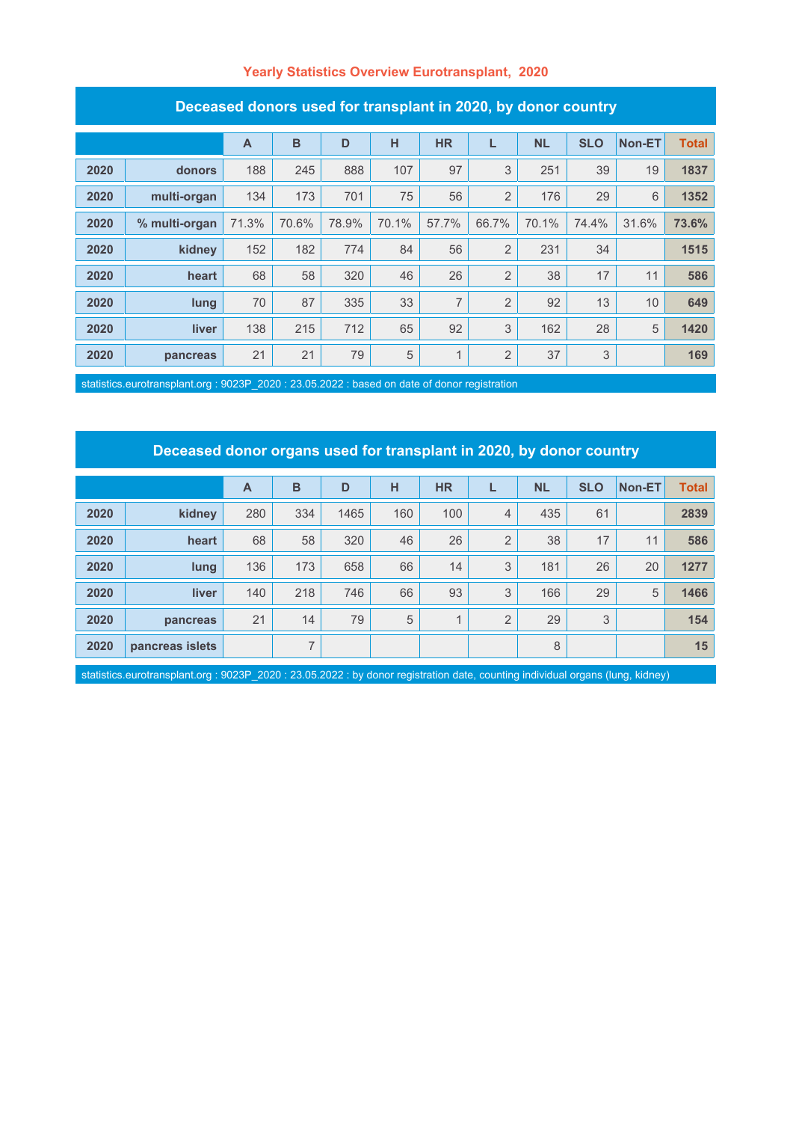### **Yearly Statistics Overview Eurotransplant, 2020**

| Deceased donors used for transplant in 2020, by donor country |               |              |       |       |       |                |                |           |            |        |              |
|---------------------------------------------------------------|---------------|--------------|-------|-------|-------|----------------|----------------|-----------|------------|--------|--------------|
|                                                               |               | $\mathsf{A}$ | B     | D     | н     | <b>HR</b>      | L              | <b>NL</b> | <b>SLO</b> | Non-ET | <b>Total</b> |
| 2020                                                          | donors        | 188          | 245   | 888   | 107   | 97             | 3              | 251       | 39         | 19     | 1837         |
| 2020                                                          | multi-organ   | 134          | 173   | 701   | 75    | 56             | $\overline{2}$ | 176       | 29         | 6      | 1352         |
| 2020                                                          | % multi-organ | 71.3%        | 70.6% | 78.9% | 70.1% | 57.7%          | 66.7%          | 70.1%     | 74.4%      | 31.6%  | 73.6%        |
| 2020                                                          | kidney        | 152          | 182   | 774   | 84    | 56             | $\overline{2}$ | 231       | 34         |        | 1515         |
| 2020                                                          | heart         | 68           | 58    | 320   | 46    | 26             | $\overline{2}$ | 38        | 17         | 11     | 586          |
| 2020                                                          | lung          | 70           | 87    | 335   | 33    | $\overline{7}$ | $\overline{2}$ | 92        | 13         | 10     | 649          |
| 2020                                                          | liver         | 138          | 215   | 712   | 65    | 92             | 3              | 162       | 28         | 5      | 1420         |
| 2020                                                          | pancreas      | 21           | 21    | 79    | 5     | 1              | $\overline{2}$ | 37        | 3          |        | 169          |

### **Deceased donors used for transplant in 2020, by donor country**

statistics.eurotransplant.org : 9023P\_2020 : 23.05.2022 : based on date of donor registration

## **Deceased donor organs used for transplant in 2020, by donor country**

|      |                 | A   | B   | D    | н   | <b>HR</b>      |                | <b>NL</b> | <b>SLO</b> | <b>Non-ET</b> | <b>Total</b> |
|------|-----------------|-----|-----|------|-----|----------------|----------------|-----------|------------|---------------|--------------|
| 2020 | kidney          | 280 | 334 | 1465 | 160 | 100            | $\overline{4}$ | 435       | 61         |               | 2839         |
| 2020 | heart           | 68  | 58  | 320  | 46  | 26             | 2              | 38        | 17         | 11            | 586          |
| 2020 | lung            | 136 | 173 | 658  | 66  | 14             | 3              | 181       | 26         | 20            | 1277         |
| 2020 | <b>liver</b>    | 140 | 218 | 746  | 66  | 93             | 3              | 166       | 29         | 5             | 1466         |
| 2020 | pancreas        | 21  | 14  | 79   | 5   | $\overline{A}$ | $\overline{2}$ | 29        | 3          |               | 154          |
| 2020 | pancreas islets |     | ⇁   |      |     |                |                | 8         |            |               | 15           |

statistics.eurotransplant.org : 9023P\_2020 : 23.05.2022 : by donor registration date, counting individual organs (lung, kidney)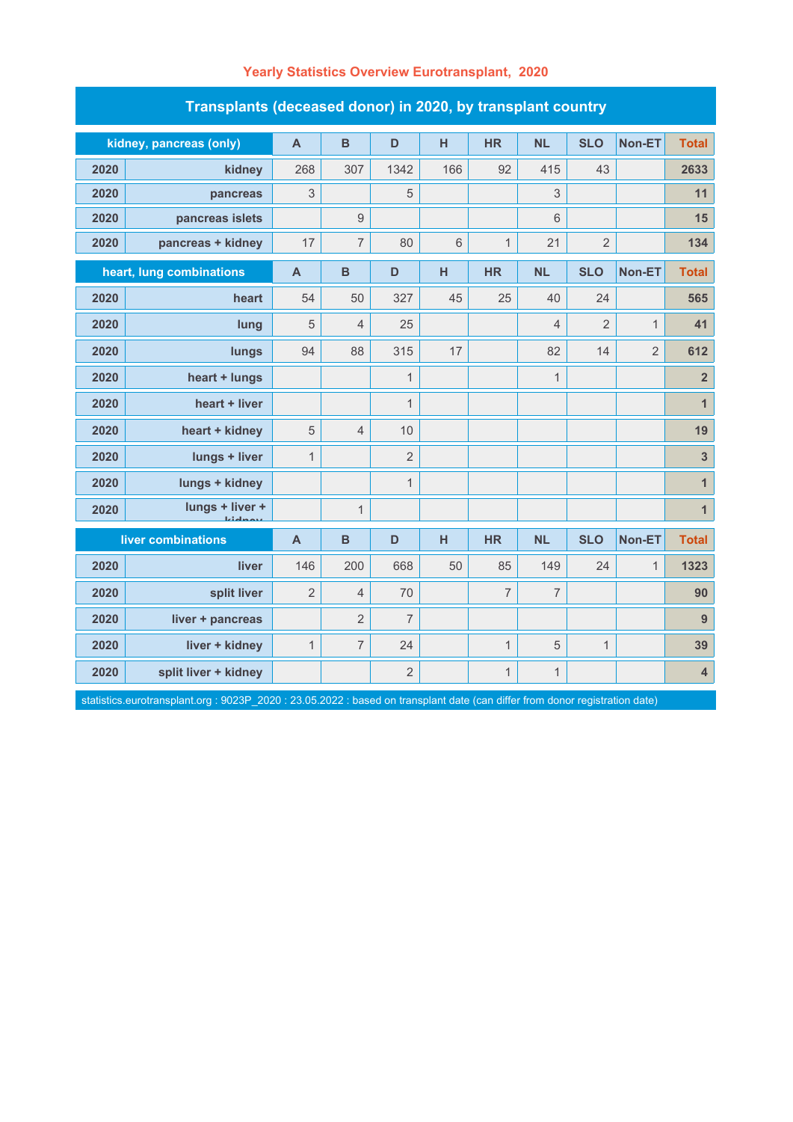| Transplants (deceased donor) in 2020, by transplant country |                          |                |                  |                |     |                |                |                |                |                         |  |  |
|-------------------------------------------------------------|--------------------------|----------------|------------------|----------------|-----|----------------|----------------|----------------|----------------|-------------------------|--|--|
| kidney, pancreas (only)                                     |                          | $\mathsf{A}$   | $\mathbf B$      | D              | H   | <b>HR</b>      | <b>NL</b>      | <b>SLO</b>     | Non-ET         | <b>Total</b>            |  |  |
| 2020                                                        | kidney                   | 268            | 307              | 1342           | 166 | 92             | 415            | 43             |                | 2633                    |  |  |
| 2020                                                        | pancreas                 | 3              |                  | 5              |     |                | 3              |                |                | 11                      |  |  |
| 2020                                                        | pancreas islets          |                | $\boldsymbol{9}$ |                |     |                | $6\phantom{1}$ |                |                | 15                      |  |  |
| 2020                                                        | pancreas + kidney        | 17             | $\overline{7}$   | 80             | 6   | $\mathbf{1}$   | 21             | $\overline{2}$ |                | 134                     |  |  |
|                                                             | heart, lung combinations | $\mathbf{A}$   | B                | D              | H   | <b>HR</b>      | <b>NL</b>      | <b>SLO</b>     | Non-ET         | <b>Total</b>            |  |  |
| 2020                                                        | heart                    | 54             | 50               | 327            | 45  | 25             | 40             | 24             |                | 565                     |  |  |
| 2020                                                        | lung                     | 5              | $\overline{4}$   | 25             |     |                | $\overline{4}$ | $\overline{2}$ | $\mathbf{1}$   | 41                      |  |  |
| 2020                                                        | lungs                    | 94             | 88               | 315            | 17  |                | 82             | 14             | $\overline{2}$ | 612                     |  |  |
| 2020                                                        | heart + lungs            |                |                  | $\mathbf 1$    |     |                | $\mathbf 1$    |                |                | $\overline{\mathbf{2}}$ |  |  |
| 2020                                                        | heart + liver            |                |                  | $\mathbf{1}$   |     |                |                |                |                | $\overline{1}$          |  |  |
| 2020                                                        | heart + kidney           | 5              | $\overline{4}$   | 10             |     |                |                |                |                | 19                      |  |  |
| 2020                                                        | lungs + liver            | $\mathbf{1}$   |                  | $\overline{2}$ |     |                |                |                |                | $\mathbf{3}$            |  |  |
| 2020                                                        | lungs + kidney           |                |                  | $\mathbf{1}$   |     |                |                |                |                | $\mathbf{1}$            |  |  |
| 2020                                                        | lungs + liver +          |                | $\mathbf{1}$     |                |     |                |                |                |                | $\mathbf{1}$            |  |  |
| liver combinations                                          |                          | $\overline{A}$ | B                | D              | н   | <b>HR</b>      | <b>NL</b>      | <b>SLO</b>     | <b>Non-ET</b>  | <b>Total</b>            |  |  |
| 2020                                                        | liver                    | 146            | 200              | 668            | 50  | 85             | 149            | 24             | $\mathbf{1}$   | 1323                    |  |  |
| 2020                                                        | split liver              | $\overline{2}$ | $\overline{4}$   | 70             |     | $\overline{7}$ | $\overline{7}$ |                |                | 90                      |  |  |
| 2020                                                        | liver + pancreas         |                | $\overline{2}$   | $\overline{7}$ |     |                |                |                |                | $\overline{9}$          |  |  |
| 2020                                                        | liver + kidney           | $\mathbf{1}$   | 7                | 24             |     | $\mathbf{1}$   | 5              | 1              |                | 39                      |  |  |
| 2020                                                        | split liver + kidney     |                |                  | $\overline{2}$ |     | $\mathbf{1}$   | $\mathbf{1}$   |                |                | $\overline{\mathbf{4}}$ |  |  |

## **Yearly Statistics Overview Eurotransplant, 2020**

statistics.eurotransplant.org : 9023P\_2020 : 23.05.2022 : based on transplant date (can differ from donor registration date)